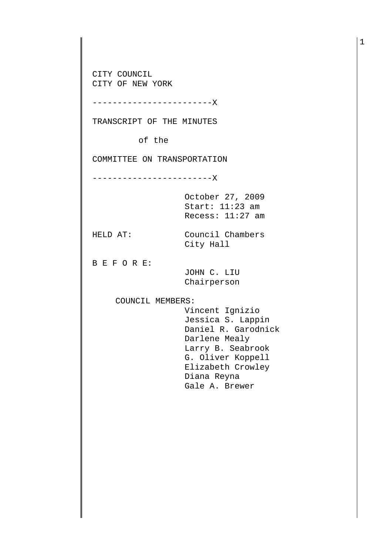CITY COUNCIL CITY OF NEW YORK

------------------------X

TRANSCRIPT OF THE MINUTES

of the

COMMITTEE ON TRANSPORTATION

------------------------X

October 27, 2009 Start: 11:23 am Recess: 11:27 am

HELD AT: Council Chambers City Hall

B E F O R E:

 JOHN C. LIU Chairperson

COUNCIL MEMBERS:

 Vincent Ignizio Jessica S. Lappin Daniel R. Garodnick Darlene Mealy Larry B. Seabrook G. Oliver Koppell Elizabeth Crowley Diana Reyna Gale A. Brewer

1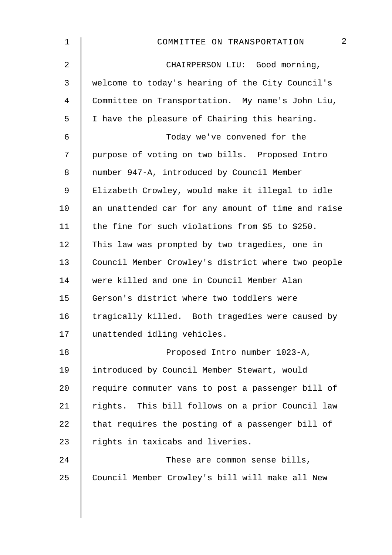| $\mathbf 1$    | $\overline{2}$<br>COMMITTEE ON TRANSPORTATION      |
|----------------|----------------------------------------------------|
| $\overline{2}$ | CHAIRPERSON LIU: Good morning,                     |
| 3              | welcome to today's hearing of the City Council's   |
| $\overline{4}$ | Committee on Transportation. My name's John Liu,   |
| 5              | I have the pleasure of Chairing this hearing.      |
| 6              | Today we've convened for the                       |
| 7              | purpose of voting on two bills. Proposed Intro     |
| 8              | number 947-A, introduced by Council Member         |
| $\mathsf 9$    | Elizabeth Crowley, would make it illegal to idle   |
| 10             | an unattended car for any amount of time and raise |
| 11             | the fine for such violations from \$5 to \$250.    |
| 12             | This law was prompted by two tragedies, one in     |
| 13             | Council Member Crowley's district where two people |
| 14             | were killed and one in Council Member Alan         |
| 15             | Gerson's district where two toddlers were          |
| 16             | tragically killed. Both tragedies were caused by   |
| 17             | unattended idling vehicles.                        |
| 18             | Proposed Intro number 1023-A,                      |
| 19             | introduced by Council Member Stewart, would        |
| 20             | require commuter vans to post a passenger bill of  |
| 21             | rights. This bill follows on a prior Council law   |
| 22             | that requires the posting of a passenger bill of   |
| 23             | rights in taxicabs and liveries.                   |
| 24             | These are common sense bills,                      |
| 25             | Council Member Crowley's bill will make all New    |
|                |                                                    |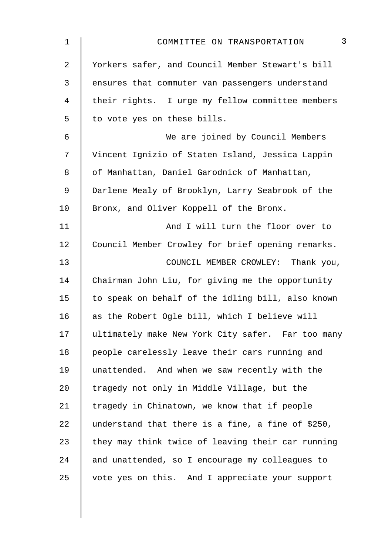| $\mathbf 1$    | $\mathfrak{Z}$<br>COMMITTEE ON TRANSPORTATION     |
|----------------|---------------------------------------------------|
| $\overline{2}$ | Yorkers safer, and Council Member Stewart's bill  |
| $\mathfrak{Z}$ | ensures that commuter van passengers understand   |
| 4              | their rights. I urge my fellow committee members  |
| 5              | to vote yes on these bills.                       |
| 6              | We are joined by Council Members                  |
| 7              | Vincent Ignizio of Staten Island, Jessica Lappin  |
| 8              | of Manhattan, Daniel Garodnick of Manhattan,      |
| 9              | Darlene Mealy of Brooklyn, Larry Seabrook of the  |
| 10             | Bronx, and Oliver Koppell of the Bronx.           |
| 11             | And I will turn the floor over to                 |
| 12             | Council Member Crowley for brief opening remarks. |
| 13             | COUNCIL MEMBER CROWLEY: Thank you,                |
| 14             | Chairman John Liu, for giving me the opportunity  |
| 15             | to speak on behalf of the idling bill, also known |
| 16             | as the Robert Ogle bill, which I believe will     |
| 17             | ultimately make New York City safer. Far too many |
| 18             | people carelessly leave their cars running and    |
| 19             | unattended. And when we saw recently with the     |
| 20             | tragedy not only in Middle Village, but the       |
| 21             | tragedy in Chinatown, we know that if people      |
| 22             | understand that there is a fine, a fine of \$250, |
| 23             | they may think twice of leaving their car running |
| 24             | and unattended, so I encourage my colleagues to   |
| 25             | vote yes on this. And I appreciate your support   |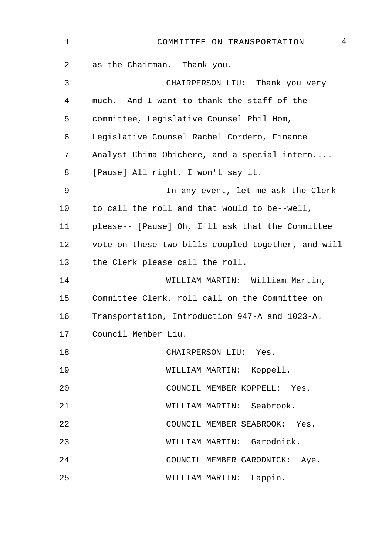| 1  | $\overline{4}$<br>COMMITTEE ON TRANSPORTATION      |
|----|----------------------------------------------------|
| 2  | as the Chairman. Thank you.                        |
| 3  | CHAIRPERSON LIU: Thank you very                    |
| 4  | much. And I want to thank the staff of the         |
| 5  | committee, Legislative Counsel Phil Hom,           |
| 6  | Legislative Counsel Rachel Cordero, Finance        |
| 7  | Analyst Chima Obichere, and a special intern       |
| 8  | [Pause] All right, I won't say it.                 |
| 9  | In any event, let me ask the Clerk                 |
| 10 | to call the roll and that would to be--well,       |
| 11 | please-- [Pause] Oh, I'll ask that the Committee   |
| 12 | vote on these two bills coupled together, and will |
| 13 | the Clerk please call the roll.                    |
| 14 | WILLIAM MARTIN: William Martin,                    |
| 15 | Committee Clerk, roll call on the Committee on     |
| 16 | Transportation, Introduction 947-A and 1023-A.     |
| 17 | Council Member Liu.                                |
| 18 | CHAIRPERSON LIU: Yes.                              |
| 19 | WILLIAM MARTIN: Koppell.                           |
| 20 | COUNCIL MEMBER KOPPELL: Yes.                       |
| 21 | WILLIAM MARTIN: Seabrook.                          |
| 22 | COUNCIL MEMBER SEABROOK: Yes.                      |
| 23 | WILLIAM MARTIN: Garodnick.                         |
| 24 | COUNCIL MEMBER GARODNICK: Aye.                     |
| 25 | WILLIAM MARTIN: Lappin.                            |
|    |                                                    |
|    |                                                    |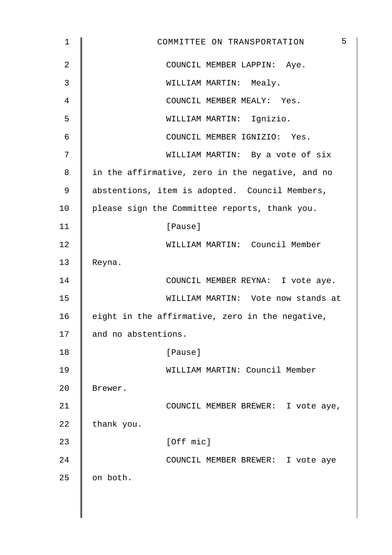| $\mathbf 1$ | 5<br>COMMITTEE ON TRANSPORTATION                 |
|-------------|--------------------------------------------------|
| 2           | COUNCIL MEMBER LAPPIN: Aye.                      |
| 3           | WILLIAM MARTIN: Mealy.                           |
| 4           | COUNCIL MEMBER MEALY: Yes.                       |
| 5           | WILLIAM MARTIN: Ignizio.                         |
| 6           | COUNCIL MEMBER IGNIZIO: Yes.                     |
| 7           | WILLIAM MARTIN: By a vote of six                 |
| 8           | in the affirmative, zero in the negative, and no |
| 9           | abstentions, item is adopted. Council Members,   |
| 10          | please sign the Committee reports, thank you.    |
| 11          | [Pause]                                          |
| 12          | WILLIAM MARTIN: Council Member                   |
| 13          | Reyna.                                           |
| 14          | COUNCIL MEMBER REYNA: I vote aye.                |
| 15          | WILLIAM MARTIN: Vote now stands at               |
| 16          | eight in the affirmative, zero in the negative,  |
| 17          | and no abstentions.                              |
| 18          | [Pause]                                          |
| 19          | WILLIAM MARTIN: Council Member                   |
| 20          | Brewer.                                          |
| 21          | COUNCIL MEMBER BREWER: I vote aye,               |
| 22          | thank you.                                       |
| 23          | [Off mic]                                        |
| 24          | COUNCIL MEMBER BREWER: I vote aye                |
| 25          | on both.                                         |
|             |                                                  |
|             |                                                  |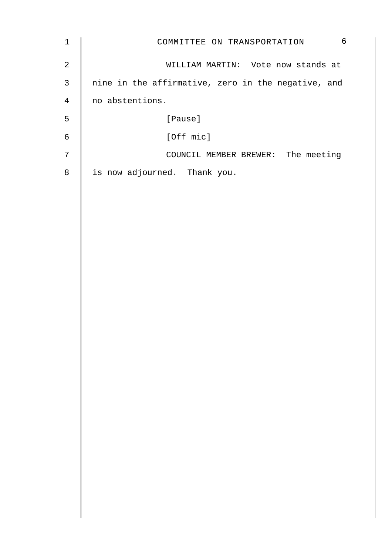| $\mathbf{1}$   | 6<br>COMMITTEE ON TRANSPORTATION                   |
|----------------|----------------------------------------------------|
| $\overline{a}$ | WILLIAM MARTIN: Vote now stands at                 |
| $\mathsf{3}$   | nine in the affirmative, zero in the negative, and |
| $\overline{4}$ | no abstentions.                                    |
| 5              | [Pause]                                            |
| $\sqrt{6}$     | [Off mic]                                          |
| 7              | COUNCIL MEMBER BREWER: The meeting                 |
| $\,8\,$        | is now adjourned. Thank you.                       |
|                |                                                    |
|                |                                                    |
|                |                                                    |
|                |                                                    |
|                |                                                    |
|                |                                                    |
|                |                                                    |
|                |                                                    |
|                |                                                    |
|                |                                                    |
|                |                                                    |
|                |                                                    |
|                |                                                    |
|                |                                                    |
|                |                                                    |
|                |                                                    |
|                |                                                    |
|                |                                                    |
|                |                                                    |